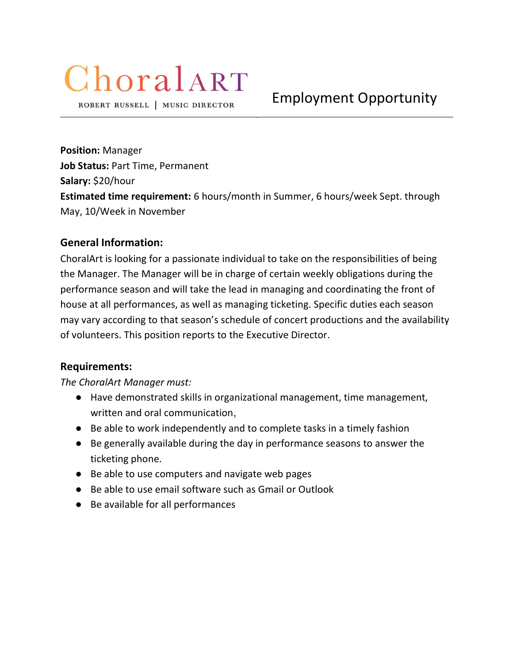# ChoralART

ROBERT RUSSELL | MUSIC DIRECTOR

Position: Manager Job Status: Part Time, Permanent Salary: \$20/hour Estimated time requirement: 6 hours/month in Summer, 6 hours/week Sept. through May, 10/Week in November

## General Information:

ChoralArt is looking for a passionate individual to take on the responsibilities of being the Manager. The Manager will be in charge of certain weekly obligations during the performance season and will take the lead in managing and coordinating the front of house at all performances, as well as managing ticketing. Specific duties each season may vary according to that season's schedule of concert productions and the availability of volunteers. This position reports to the Executive Director.

## Requirements:

## The ChoralArt Manager must:

- Have demonstrated skills in organizational management, time management, written and oral communication,
- Be able to work independently and to complete tasks in a timely fashion
- Be generally available during the day in performance seasons to answer the ticketing phone.
- Be able to use computers and navigate web pages
- Be able to use email software such as Gmail or Outlook
- Be available for all performances